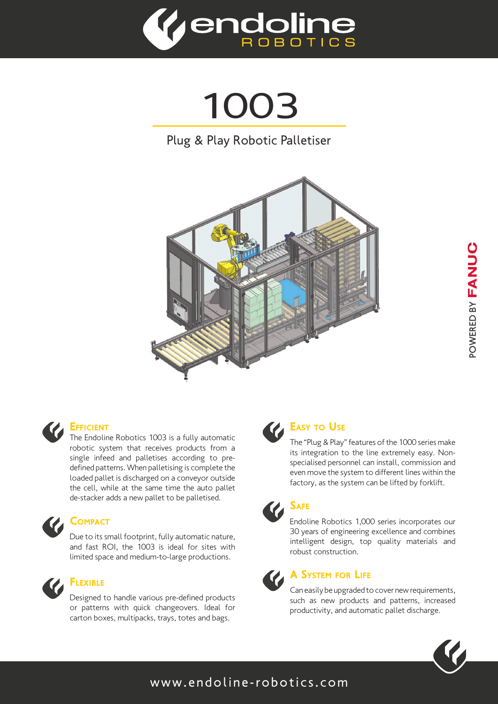

1003







### **EFFICIENT**

The Endoline Robotics 1003 is a fully automatic robotic system that receives products from a single infeed and palletises according to predefined patterns. When palletising is complete the loaded pallet is discharged on a conveyor outside the cell, while at the same time the auto pallet de-stacker adds a new pallet to be palletised.



### **COMPACT**

Due to its small footprint, fully automatic nature, and fast ROI, the 1003 is ideal for sites with limited space and medium-to-large productions.



# Flexible

Designed to handle various pre-defined products or patterns with quick changeovers. Ideal for carton boxes, multipacks, trays, totes and bags.



## **EASY TO USE**

The "Plug & Play" features of the 1000 series make its integration to the line extremely easy. Nonspecialised personnel can install, commission and even move the system to different lines within the factory, as the system can be lifted by forklift.



Endoline Robotics 1,000 series incorporates our 30 years of engineering excellence and combines intelligent design, top quality materials and robust construction.



### A System for Life

Can easily be upgraded to cover new requirements, such as new products and patterns, increased productivity, and automatic pallet discharge.



### www.endoline-robotics.com